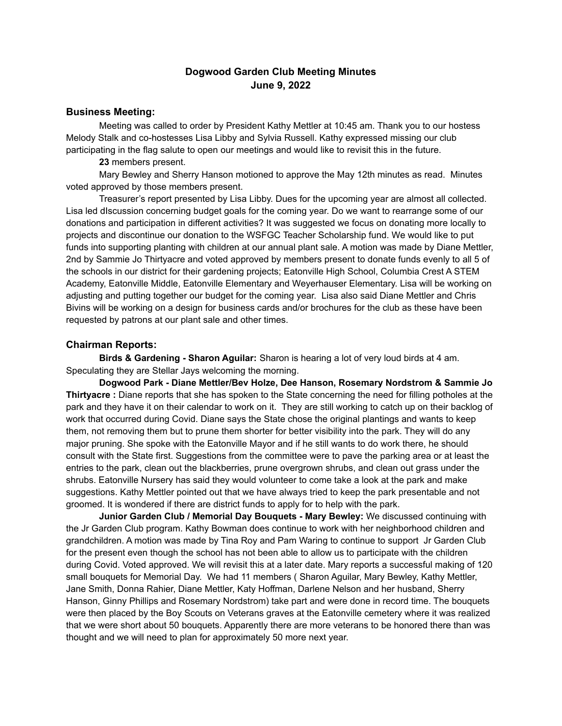### **Dogwood Garden Club Meeting Minutes June 9, 2022**

### **Business Meeting:**

Meeting was called to order by President Kathy Mettler at 10:45 am. Thank you to our hostess Melody Stalk and co-hostesses Lisa Libby and Sylvia Russell. Kathy expressed missing our club participating in the flag salute to open our meetings and would like to revisit this in the future.

**23** members present.

Mary Bewley and Sherry Hanson motioned to approve the May 12th minutes as read. Minutes voted approved by those members present.

Treasurer's report presented by Lisa Libby. Dues for the upcoming year are almost all collected. Lisa led dIscussion concerning budget goals for the coming year. Do we want to rearrange some of our donations and participation in different activities? It was suggested we focus on donating more locally to projects and discontinue our donation to the WSFGC Teacher Scholarship fund. We would like to put funds into supporting planting with children at our annual plant sale. A motion was made by Diane Mettler, 2nd by Sammie Jo Thirtyacre and voted approved by members present to donate funds evenly to all 5 of the schools in our district for their gardening projects; Eatonville High School, Columbia Crest A STEM Academy, Eatonville Middle, Eatonville Elementary and Weyerhauser Elementary. Lisa will be working on adjusting and putting together our budget for the coming year. Lisa also said Diane Mettler and Chris Bivins will be working on a design for business cards and/or brochures for the club as these have been requested by patrons at our plant sale and other times.

#### **Chairman Reports:**

**Birds & Gardening - Sharon Aguilar:** Sharon is hearing a lot of very loud birds at 4 am. Speculating they are Stellar Jays welcoming the morning.

**Dogwood Park - Diane Mettler/Bev Holze, Dee Hanson, Rosemary Nordstrom & Sammie Jo Thirtyacre :** Diane reports that she has spoken to the State concerning the need for filling potholes at the park and they have it on their calendar to work on it. They are still working to catch up on their backlog of work that occurred during Covid. Diane says the State chose the original plantings and wants to keep them, not removing them but to prune them shorter for better visibility into the park. They will do any major pruning. She spoke with the Eatonville Mayor and if he still wants to do work there, he should consult with the State first. Suggestions from the committee were to pave the parking area or at least the entries to the park, clean out the blackberries, prune overgrown shrubs, and clean out grass under the shrubs. Eatonville Nursery has said they would volunteer to come take a look at the park and make suggestions. Kathy Mettler pointed out that we have always tried to keep the park presentable and not groomed. It is wondered if there are district funds to apply for to help with the park.

**Junior Garden Club / Memorial Day Bouquets - Mary Bewley:** We discussed continuing with the Jr Garden Club program. Kathy Bowman does continue to work with her neighborhood children and grandchildren. A motion was made by Tina Roy and Pam Waring to continue to support Jr Garden Club for the present even though the school has not been able to allow us to participate with the children during Covid. Voted approved. We will revisit this at a later date. Mary reports a successful making of 120 small bouquets for Memorial Day. We had 11 members ( Sharon Aguilar, Mary Bewley, Kathy Mettler, Jane Smith, Donna Rahier, Diane Mettler, Katy Hoffman, Darlene Nelson and her husband, Sherry Hanson, Ginny Phillips and Rosemary Nordstrom) take part and were done in record time. The bouquets were then placed by the Boy Scouts on Veterans graves at the Eatonville cemetery where it was realized that we were short about 50 bouquets. Apparently there are more veterans to be honored there than was thought and we will need to plan for approximately 50 more next year.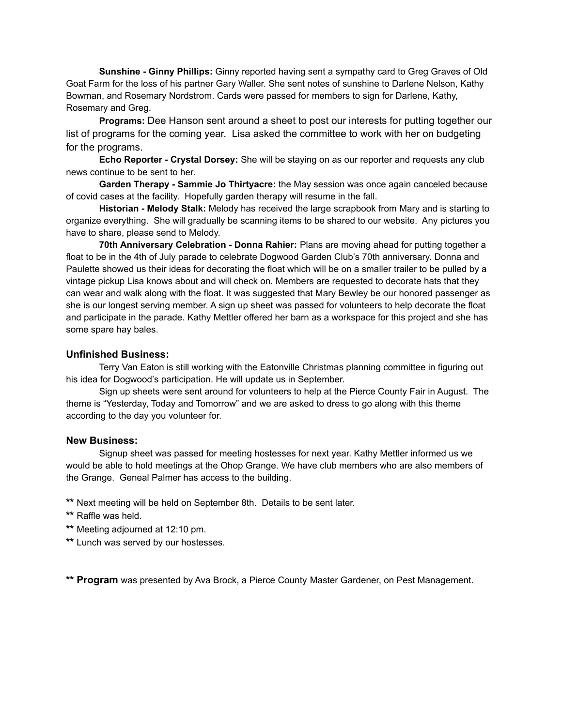**Sunshine - Ginny Phillips:** Ginny reported having sent a sympathy card to Greg Graves of Old Goat Farm for the loss of his partner Gary Waller. She sent notes of sunshine to Darlene Nelson, Kathy Bowman, and Rosemary Nordstrom. Cards were passed for members to sign for Darlene, Kathy, Rosemary and Greg.

**Programs:** Dee Hanson sent around a sheet to post our interests for putting together our list of programs for the coming year. Lisa asked the committee to work with her on budgeting for the programs.

**Echo Reporter - Crystal Dorsey:** She will be staying on as our reporter and requests any club news continue to be sent to her.

**Garden Therapy - Sammie Jo Thirtyacre:** the May session was once again canceled because of covid cases at the facility. Hopefully garden therapy will resume in the fall.

**Historian - Melody Stalk:** Melody has received the large scrapbook from Mary and is starting to organize everything. She will gradually be scanning items to be shared to our website. Any pictures you have to share, please send to Melody.

**70th Anniversary Celebration - Donna Rahier:** Plans are moving ahead for putting together a float to be in the 4th of July parade to celebrate Dogwood Garden Club's 70th anniversary. Donna and Paulette showed us their ideas for decorating the float which will be on a smaller trailer to be pulled by a vintage pickup Lisa knows about and will check on. Members are requested to decorate hats that they can wear and walk along with the float. It was suggested that Mary Bewley be our honored passenger as she is our longest serving member. A sign up sheet was passed for volunteers to help decorate the float and participate in the parade. Kathy Mettler offered her barn as a workspace for this project and she has some spare hay bales.

#### **Unfinished Business:**

Terry Van Eaton is still working with the Eatonville Christmas planning committee in figuring out his idea for Dogwood's participation. He will update us in September.

Sign up sheets were sent around for volunteers to help at the Pierce County Fair in August. The theme is "Yesterday, Today and Tomorrow" and we are asked to dress to go along with this theme according to the day you volunteer for.

#### **New Business:**

Signup sheet was passed for meeting hostesses for next year. Kathy Mettler informed us we would be able to hold meetings at the Ohop Grange. We have club members who are also members of the Grange. Geneal Palmer has access to the building.

**\*\*** Next meeting will be held on September 8th. Details to be sent later.

- **\*\*** Raffle was held.
- **\*\*** Meeting adjourned at 12:10 pm.
- **\*\*** Lunch was served by our hostesses.

**\*\* Program** was presented by Ava Brock, a Pierce County Master Gardener, on Pest Management.